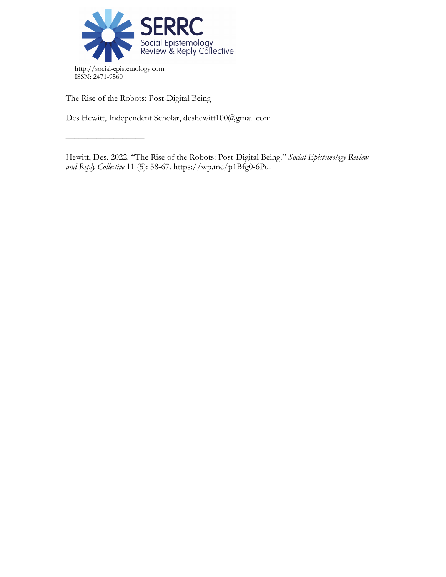

The Rise of the Robots: Post-Digital Being

––––––––––––––––––

Des Hewitt, Independent Scholar, deshewitt100@gmail.com

Hewitt, Des. 2022. "The Rise of the Robots: Post-Digital Being." *Social Epistemology Review and Reply Collective* 11 (5): 58-67. https://wp.me/p1Bfg0-6Pu.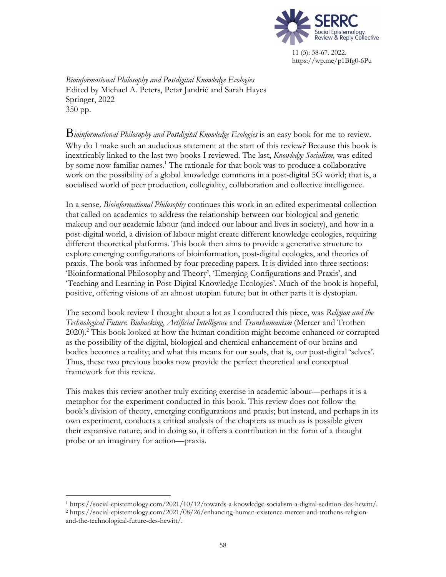

*Bioinformational Philosophy and Postdigital Knowledge Ecologies*  Edited by Michael A. Peters, Petar Jandrić and Sarah Hayes Springer, 2022 350 pp.

B*ioinformational Philosophy and Postdigital Knowledge Ecologies* is an easy book for me to review. Why do I make such an audacious statement at the start of this review? Because this book is inextricably linked to the last two books I reviewed. The last, *Knowledge Socialism,* was edited by some now familiar names.<sup>1</sup> The rationale for that book was to produce a collaborative work on the possibility of a global knowledge commons in a post-digital 5G world; that is, a socialised world of peer production, collegiality, collaboration and collective intelligence.

In a sense*, Bioinformational Philosophy* continues this work in an edited experimental collection that called on academics to address the relationship between our biological and genetic makeup and our academic labour (and indeed our labour and lives in society), and how in a post-digital world, a division of labour might create different knowledge ecologies, requiring different theoretical platforms. This book then aims to provide a generative structure to explore emerging configurations of bioinformation, post-digital ecologies, and theories of praxis. The book was informed by four preceding papers. It is divided into three sections: 'Bioinformational Philosophy and Theory', 'Emerging Configurations and Praxis', and 'Teaching and Learning in Post-Digital Knowledge Ecologies'. Much of the book is hopeful, positive, offering visions of an almost utopian future; but in other parts it is dystopian.

The second book review I thought about a lot as I conducted this piece, was *Religion and the Technological Future*: *Biohacking*, *Artificial Intelligence* and *Transhumanism* (Mercer and Trothen 2020).2 This book looked at how the human condition might become enhanced or corrupted as the possibility of the digital, biological and chemical enhancement of our brains and bodies becomes a reality; and what this means for our souls, that is, our post-digital 'selves'. Thus, these two previous books now provide the perfect theoretical and conceptual framework for this review.

This makes this review another truly exciting exercise in academic labour—perhaps it is a metaphor for the experiment conducted in this book. This review does not follow the book's division of theory, emerging configurations and praxis; but instead, and perhaps in its own experiment, conducts a critical analysis of the chapters as much as is possible given their expansive nature; and in doing so, it offers a contribution in the form of a thought probe or an imaginary for action—praxis.

<sup>1</sup> https://social-epistemology.com/2021/10/12/towards-a-knowledge-socialism-a-digital-sedition-des-hewitt/.

<sup>2</sup> https://social-epistemology.com/2021/08/26/enhancing-human-existence-mercer-and-trothens-religionand-the-technological-future-des-hewitt/.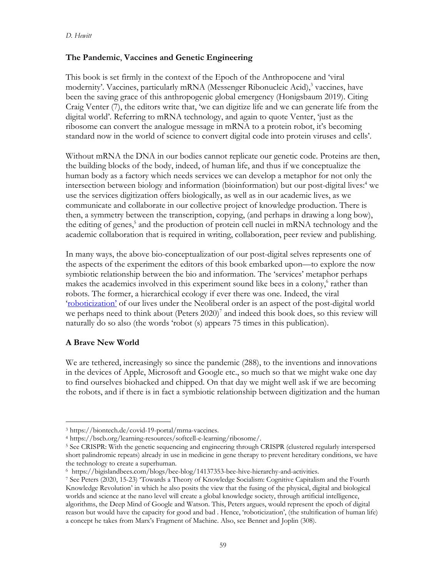### **The Pandemic**, **Vaccines and Genetic Engineering**

This book is set firmly in the context of the Epoch of the Anthropocene and 'viral modernity'. Vaccines, particularly mRNA (Messenger Ribonucleic Acid), $\frac{3}{3}$  vaccines, have been the saving grace of this anthropogenic global emergency (Honigsbaum 2019). Citing Craig Venter (7), the editors write that, 'we can digitize life and we can generate life from the digital world'. Referring to mRNA technology, and again to quote Venter, 'just as the ribosome can convert the analogue message in mRNA to a protein robot, it's becoming standard now in the world of science to convert digital code into protein viruses and cells'.

Without mRNA the DNA in our bodies cannot replicate our genetic code. Proteins are then, the building blocks of the body, indeed, of human life, and thus if we conceptualize the human body as a factory which needs services we can develop a metaphor for not only the intersection between biology and information (bioinformation) but our post-digital lives:<sup>4</sup> we use the services digitization offers biologically, as well as in our academic lives, as we communicate and collaborate in our collective project of knowledge production. There is then, a symmetry between the transcription, copying, (and perhaps in drawing a long bow), the editing of genes, <sup>5</sup> and the production of protein cell nuclei in mRNA technology and the academic collaboration that is required in writing, collaboration, peer review and publishing.

In many ways, the above bio-conceptualization of our post-digital selves represents one of the aspects of the experiment the editors of this book embarked upon—to explore the now symbiotic relationship between the bio and information. The 'services' metaphor perhaps makes the academics involved in this experiment sound like bees in a colony, <sup>6</sup> rather than robots. The former, a hierarchical ecology if ever there was one. Indeed, the viral 'roboticization' of our lives under the Neoliberal order is an aspect of the post-digital world we perhaps need to think about (Peters 2020)<sup>7</sup> and indeed this book does, so this review will naturally do so also (the words 'robot (s) appears 75 times in this publication).

## **A Brave New World**

We are tethered, increasingly so since the pandemic (288), to the inventions and innovations in the devices of Apple, Microsoft and Google etc., so much so that we might wake one day to find ourselves biohacked and chipped. On that day we might well ask if we are becoming the robots, and if there is in fact a symbiotic relationship between digitization and the human

<sup>3</sup> https://biontech.de/covid-19-portal/mrna-vaccines.

<sup>4</sup> https://bscb.org/learning-resources/softcell-e-learning/ribosome/.

<sup>5</sup> See CRISPR: With the genetic sequencing and engineering through CRISPR (clustered regularly interspersed short palindromic repeats) already in use in medicine in gene therapy to prevent hereditary conditions, we have the technology to create a superhuman.

<sup>6</sup> https://bigislandbees.com/blogs/bee-blog/14137353-bee-hive-hierarchy-and-activities.

<sup>7</sup> See Peters (2020, 15-23) 'Towards a Theory of Knowledge Socialism: Cognitive Capitalism and the Fourth Knowledge Revolution' in which he also posits the view that the fusing of the physical, digital and biological worlds and science at the nano level will create a global knowledge society, through artificial intelligence, algorithms, the Deep Mind of Google and Watson. This, Peters argues, would represent the epoch of digital reason but would have the capacity for good and bad . Hence, 'roboticization', (the stultification of human life) a concept he takes from Marx's Fragment of Machine. Also, see Bennet and Joplin (308).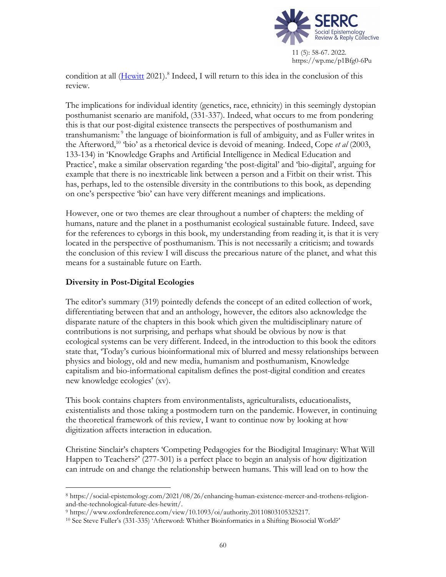

condition at all (Hewitt 2021).<sup>8</sup> Indeed, I will return to this idea in the conclusion of this review.

The implications for individual identity (genetics, race, ethnicity) in this seemingly dystopian posthumanist scenario are manifold, (331-337). Indeed, what occurs to me from pondering this is that our post-digital existence transects the perspectives of posthumanism and transhumanism:<sup>9</sup> the language of bioinformation is full of ambiguity, and as Fuller writes in the Afterword,10 'bio' as a rhetorical device is devoid of meaning. Indeed, Cope *et al* (2003, 133-134) in 'Knowledge Graphs and Artificial Intelligence in Medical Education and Practice', make a similar observation regarding 'the post-digital' and 'bio-digital', arguing for example that there is no inextricable link between a person and a Fitbit on their wrist. This has, perhaps, led to the ostensible diversity in the contributions to this book, as depending on one's perspective 'bio' can have very different meanings and implications.

However, one or two themes are clear throughout a number of chapters: the melding of humans, nature and the planet in a posthumanist ecological sustainable future. Indeed, save for the references to cyborgs in this book, my understanding from reading it, is that it is very located in the perspective of posthumanism. This is not necessarily a criticism; and towards the conclusion of this review I will discuss the precarious nature of the planet, and what this means for a sustainable future on Earth.

### **Diversity in Post-Digital Ecologies**

The editor's summary (319) pointedly defends the concept of an edited collection of work, differentiating between that and an anthology, however, the editors also acknowledge the disparate nature of the chapters in this book which given the multidisciplinary nature of contributions is not surprising, and perhaps what should be obvious by now is that ecological systems can be very different. Indeed, in the introduction to this book the editors state that, 'Today's curious bioinformational mix of blurred and messy relationships between physics and biology, old and new media, humanism and posthumanism, Knowledge capitalism and bio-informational capitalism defines the post-digital condition and creates new knowledge ecologies' (xv).

This book contains chapters from environmentalists, agriculturalists, educationalists, existentialists and those taking a postmodern turn on the pandemic. However, in continuing the theoretical framework of this review, I want to continue now by looking at how digitization affects interaction in education.

Christine Sinclair's chapters 'Competing Pedagogies for the Biodigital Imaginary: What Will Happen to Teachers?' (277-301) is a perfect place to begin an analysis of how digitization can intrude on and change the relationship between humans. This will lead on to how the

<sup>8</sup> https://social-epistemology.com/2021/08/26/enhancing-human-existence-mercer-and-trothens-religionand-the-technological-future-des-hewitt/.

<sup>9</sup> https://www.oxfordreference.com/view/10.1093/oi/authority.20110803105325217.

<sup>10</sup> See Steve Fuller's (331-335) 'Afterword: Whither Bioinformatics in a Shifting Biosocial World?'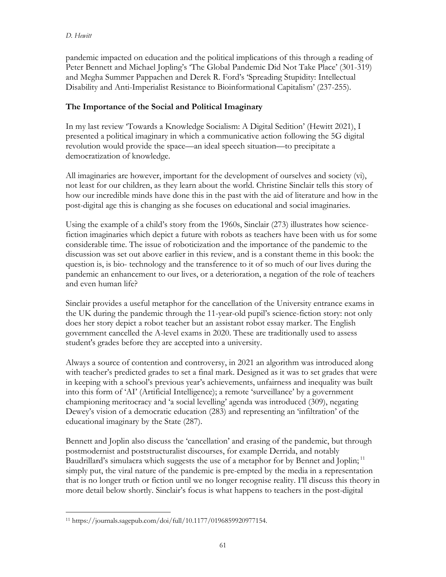#### *D. Hewitt*

pandemic impacted on education and the political implications of this through a reading of Peter Bennett and Michael Jopling's 'The Global Pandemic Did Not Take Place' (301-319) and Megha Summer Pappachen and Derek R. Ford's 'Spreading Stupidity: Intellectual Disability and Anti-Imperialist Resistance to Bioinformational Capitalism' (237-255).

## **The Importance of the Social and Political Imaginary**

In my last review 'Towards a Knowledge Socialism: A Digital Sedition' (Hewitt 2021), I presented a political imaginary in which a communicative action following the 5G digital revolution would provide the space—an ideal speech situation—to precipitate a democratization of knowledge.

All imaginaries are however, important for the development of ourselves and society (vi), not least for our children, as they learn about the world. Christine Sinclair tells this story of how our incredible minds have done this in the past with the aid of literature and how in the post-digital age this is changing as she focuses on educational and social imaginaries.

Using the example of a child's story from the 1960s, Sinclair (273) illustrates how sciencefiction imaginaries which depict a future with robots as teachers have been with us for some considerable time. The issue of roboticization and the importance of the pandemic to the discussion was set out above earlier in this review, and is a constant theme in this book: the question is, is bio- technology and the transference to it of so much of our lives during the pandemic an enhancement to our lives, or a deterioration, a negation of the role of teachers and even human life?

Sinclair provides a useful metaphor for the cancellation of the University entrance exams in the UK during the pandemic through the 11-year-old pupil's science-fiction story: not only does her story depict a robot teacher but an assistant robot essay marker. The English government cancelled the A-level exams in 2020. These are traditionally used to assess student's grades before they are accepted into a university.

Always a source of contention and controversy, in 2021 an algorithm was introduced along with teacher's predicted grades to set a final mark. Designed as it was to set grades that were in keeping with a school's previous year's achievements, unfairness and inequality was built into this form of 'AI' (Artificial Intelligence); a remote 'surveillance' by a government championing meritocracy and 'a social levelling' agenda was introduced (309), negating Dewey's vision of a democratic education (283) and representing an 'infiltration' of the educational imaginary by the State (287).

Bennett and Joplin also discuss the 'cancellation' and erasing of the pandemic, but through postmodernist and poststructuralist discourses, for example Derrida, and notably Baudrillard's simulacra which suggests the use of a metaphor for by Bennet and Joplin;<sup>11</sup> simply put, the viral nature of the pandemic is pre-empted by the media in a representation that is no longer truth or fiction until we no longer recognise reality. I'll discuss this theory in more detail below shortly. Sinclair's focus is what happens to teachers in the post-digital

<sup>11</sup> https://journals.sagepub.com/doi/full/10.1177/0196859920977154.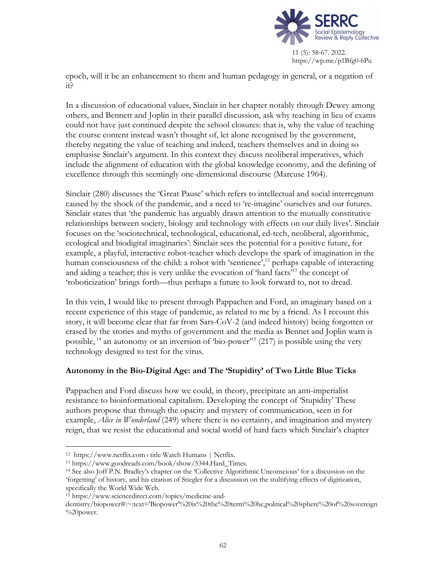

epoch, will it be an enhancement to them and human pedagogy in general, or a negation of it?

In a discussion of educational values, Sinclair in her chapter notably through Dewey among others, and Bennett and Joplin in their parallel discussion, ask why teaching in lieu of exams could not have just continued despite the school closures: that is, why the value of teaching the course content instead wasn't thought of, let alone recognised by the government, thereby negating the value of teaching and indeed, teachers themselves and in doing so emphasise Sinclair's argument. In this context they discuss neoliberal imperatives, which include the alignment of education with the global knowledge economy, and the defining of excellence through this seemingly one-dimensional discourse (Marcuse 1964).

Sinclair (280) discusses the 'Great Pause' which refers to intellectual and social interregnum caused by the shock of the pandemic, and a need to 're-imagine' ourselves and our futures. Sinclair states that 'the pandemic has arguably drawn attention to the mutually constitutive relationships between society, biology and technology with effects on our daily lives'. Sinclair focuses on the 'sociotechnical, technological, educational, ed-tech, neoliberal, algorithmic, ecological and biodigital imaginaries': Sinclair sees the potential for a positive future, for example, a playful, interactive robot-teacher which develops the spark of imagination in the human consciousness of the child: a robot with 'sentience',<sup>12</sup> perhaps capable of interacting and aiding a teacher; this is very unlike the evocation of 'hard facts'<sup>13</sup> the concept of 'roboticization' brings forth—thus perhaps a future to look forward to, not to dread.

In this vein, I would like to present through Pappachen and Ford, an imaginary based on a recent experience of this stage of pandemic, as related to me by a friend. As I recount this story, it will become clear that far from Sars-CoV-2 (and indeed history) being forgotten or erased by the stories and myths of government and the media as Bennet and Joplin warn is possible,  $^{14}$  an autonomy or an inversion of 'bio-power'<sup>15</sup> (217) is possible using the very technology designed to test for the virus.

### **Autonomy in the Bio-Digital Age: and The 'Stupidity' of Two Little Blue Ticks**

Pappachen and Ford discuss how we could, in theory, precipitate an anti-imperialist resistance to bioinformational capitalism. Developing the concept of 'Stupidity' These authors propose that through the opacity and mystery of communication, seen in for example, *Alice in Wonderland* (249) where there is no certainty, and imagination and mystery reign, that we resist the educational and social world of hard facts which Sinclair's chapter

<sup>12</sup> https://www.netflix.com › title Watch Humans | Netflix.

<sup>13</sup> https://www.goodreads.com/book/show/5344.Hard\_Times.

<sup>14</sup> See also Joff P.N. Bradley's chapter on the 'Collective Algorithmic Unconscious' for a discussion on the 'forgetting' of history, and his citation of Stiegler for a discussion on the stultifying effects of digitization, specifically the World Wide Web.

<sup>15</sup> https://www.sciencedirect.com/topics/medicine-and-

dentistry/biopower#:~:text='Biopower'%20is%20the%20term%20he,political%20sphere%20of%20sovereign %20power.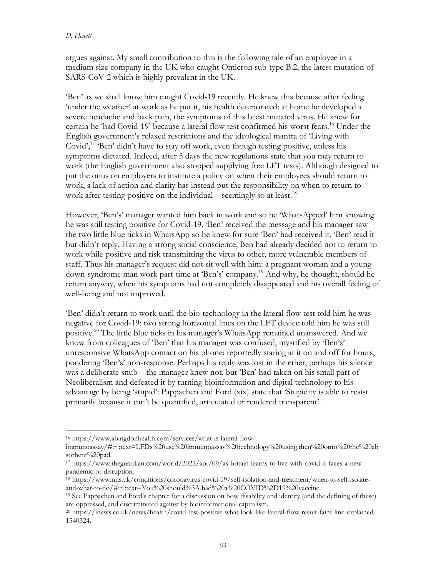#### *D. Hewitt*

argues against. My small contribution to this is the following tale of an employee in a medium size company in the UK who caught Omicron sub-type B.2, the latest mutation of SARS-CoV-2 which is highly prevalent in the UK.

'Ben' as we shall know him caught Covid-19 recently. He knew this because after feeling 'under the weather' at work as he put it, his health deteriorated: at home he developed a severe headache and back pain, the symptoms of this latest mutated virus. He knew for certain he 'had Covid-19' because a lateral flow test confirmed his worst fears.<sup>16</sup> Under the English government's relaxed restrictions and the ideological mantra of 'Living with Covid',<sup>17</sup> 'Ben' didn't have to stay off work, even though testing positive, unless his symptoms dictated. Indeed, after 5 days the new regulations state that you may return to work (the English government also stopped supplying free LFT tests). Although designed to put the onus on employers to institute a policy on when their employees should return to work, a lack of action and clarity has instead put the responsibility on when to return to work after testing positive on the individual—seemingly so at least.<sup>18</sup>

However, 'Ben's' manager wanted him back in work and so he 'WhatsApped' him knowing he was still testing positive for Covid-19. 'Ben' received the message and his manager saw the two little blue ticks in WhatsApp so he knew for sure 'Ben' had received it. 'Ben' read it but didn't reply. Having a strong social conscience, Ben had already decided not to return to work while positive and risk transmitting the virus to other, more vulnerable members of staff. Thus his manager's request did not sit well with him: a pregnant woman and a young down-syndrome man work part-time at 'Ben's' company.19 And why, he thought, should he return anyway, when his symptoms had not completely disappeared and his overall feeling of well-being and not improved.

'Ben' didn't return to work until the bio-technology in the lateral flow test told him he was negative for Covid-19: two strong horizontal lines on the LFT device told him he was still positive. <sup>20</sup> The little blue ticks in his manager's WhatsApp remained unanswered. And we know from colleagues of 'Ben' that his manager was confused, mystified by 'Ben's' unresponsive WhatsApp contact on his phone: reportedly staring at it on and off for hours, pondering 'Ben's' non-response. Perhaps his reply was lost in the ether, perhaps his silence was a deliberate snub—the manager knew not, but 'Ben' had taken on his small part of Neoliberalism and defeated it by turning bioinformation and digital technology to his advantage by being 'stupid': Pappachen and Ford (xix) state that 'Stupidity is able to resist primarily because it can't be quantified, articulated or rendered transparent'.

<sup>16</sup> https://www.abingdonhealth.com/services/what-is-lateral-flow-

immunoassay/#:~:text=LFDs%20use%20immunoassay%20technology%20using,then%20onto%20the%20ab sorbent%20pad. 17 https://www.theguardian.com/world/2022/apr/09/as-britain-learns-to-live-with-covid-it-faces-a-new-

pandemic-of-disruption.

<sup>18</sup> https://www.nhs.uk/conditions/coronavirus-covid-19/self-isolation-and-treatment/when-to-self-isolateand-what-to-do/#:~:text=You%20should%3A,had%20a%20COVID%2D19%20vaccine.

<sup>19</sup> See Pappachen and Ford's chapter for a discussion on how disability and identity (and the defining of these) are oppressed, and discriminated against by bioinformational capitalism.

<sup>20</sup> https://inews.co.uk/news/health/covid-test-positive-what-look-like-lateral-flow-result-faint-line-explained-1540324.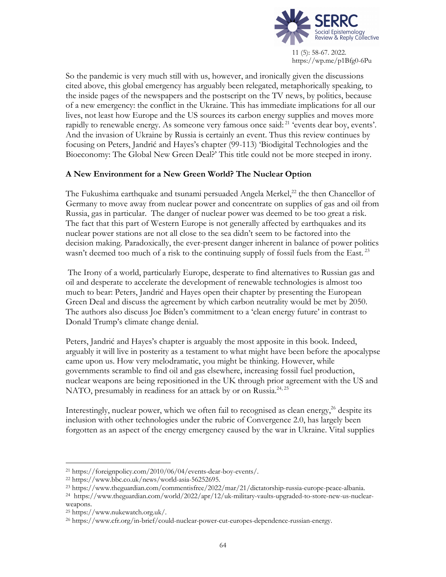

So the pandemic is very much still with us, however, and ironically given the discussions cited above, this global emergency has arguably been relegated, metaphorically speaking, to the inside pages of the newspapers and the postscript on the TV news, by politics, because of a new emergency: the conflict in the Ukraine. This has immediate implications for all our lives, not least how Europe and the US sources its carbon energy supplies and moves more rapidly to renewable energy. As someone very famous once said: <sup>21</sup> 'events dear boy, events'. And the invasion of Ukraine by Russia is certainly an event. Thus this review continues by focusing on Peters, Jandrić and Hayes's chapter (99-113) 'Biodigital Technologies and the Bioeconomy: The Global New Green Deal?' This title could not be more steeped in irony.

### **A New Environment for a New Green World? The Nuclear Option**

The Fukushima earthquake and tsunami persuaded Angela Merkel,<sup>22</sup> the then Chancellor of Germany to move away from nuclear power and concentrate on supplies of gas and oil from Russia, gas in particular. The danger of nuclear power was deemed to be too great a risk. The fact that this part of Western Europe is not generally affected by earthquakes and its nuclear power stations are not all close to the sea didn't seem to be factored into the decision making. Paradoxically, the ever-present danger inherent in balance of power politics wasn't deemed too much of a risk to the continuing supply of fossil fuels from the East.<sup>23</sup>

The Irony of a world, particularly Europe, desperate to find alternatives to Russian gas and oil and desperate to accelerate the development of renewable technologies is almost too much to bear: Peters, Jandrić and Hayes open their chapter by presenting the European Green Deal and discuss the agreement by which carbon neutrality would be met by 2050. The authors also discuss Joe Biden's commitment to a 'clean energy future' in contrast to Donald Trump's climate change denial.

Peters, Jandrić and Hayes's chapter is arguably the most apposite in this book. Indeed, arguably it will live in posterity as a testament to what might have been before the apocalypse came upon us. How very melodramatic, you might be thinking. However, while governments scramble to find oil and gas elsewhere, increasing fossil fuel production, nuclear weapons are being repositioned in the UK through prior agreement with the US and NATO, presumably in readiness for an attack by or on Russia.<sup>24, 25</sup>

Interestingly, nuclear power, which we often fail to recognised as clean energy,<sup>26</sup> despite its inclusion with other technologies under the rubric of Convergence 2.0, has largely been forgotten as an aspect of the energy emergency caused by the war in Ukraine. Vital supplies

<sup>21</sup> https://foreignpolicy.com/2010/06/04/events-dear-boy-events/.

<sup>22</sup> https://www.bbc.co.uk/news/world-asia-56252695.

<sup>23</sup> https://www.theguardian.com/commentisfree/2022/mar/21/dictatorship-russia-europe-peace-albania.

<sup>24</sup> https://www.theguardian.com/world/2022/apr/12/uk-military-vaults-upgraded-to-store-new-us-nuclearweapons.

<sup>25</sup> https://www.nukewatch.org.uk/.

<sup>26</sup> https://www.cfr.org/in-brief/could-nuclear-power-cut-europes-dependence-russian-energy.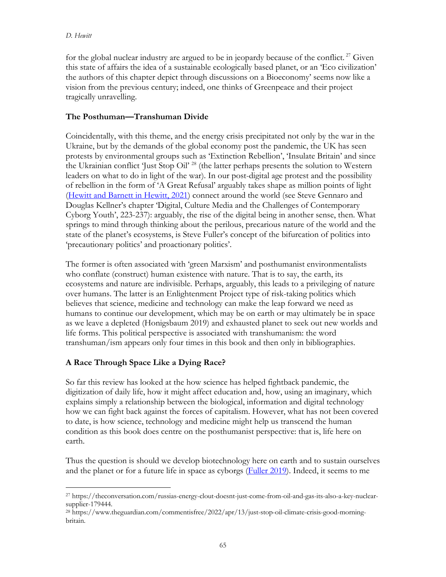for the global nuclear industry are argued to be in jeopardy because of the conflict.<sup>27</sup> Given this state of affairs the idea of a sustainable ecologically based planet, or an 'Eco civilization' the authors of this chapter depict through discussions on a Bioeconomy' seems now like a vision from the previous century; indeed, one thinks of Greenpeace and their project tragically unravelling.

## **The Posthuman—Transhuman Divide**

Coincidentally, with this theme, and the energy crisis precipitated not only by the war in the Ukraine, but by the demands of the global economy post the pandemic, the UK has seen protests by environmental groups such as 'Extinction Rebellion', 'Insulate Britain' and since the Ukrainian conflict 'Just Stop Oil' 28 (the latter perhaps presents the solution to Western leaders on what to do in light of the war). In our post-digital age protest and the possibility of rebellion in the form of 'A Great Refusal' arguably takes shape as million points of light (Hewitt and Barnett in Hewitt, 2021) connect around the world (see Steve Gennaro and Douglas Kellner's chapter 'Digital, Culture Media and the Challenges of Contemporary Cyborg Youth', 223-237): arguably, the rise of the digital being in another sense, then. What springs to mind through thinking about the perilous, precarious nature of the world and the state of the planet's ecosystems, is Steve Fuller's concept of the bifurcation of politics into 'precautionary politics' and proactionary politics'.

The former is often associated with 'green Marxism' and posthumanist environmentalists who conflate (construct) human existence with nature. That is to say, the earth, its ecosystems and nature are indivisible. Perhaps, arguably, this leads to a privileging of nature over humans. The latter is an Enlightenment Project type of risk-taking politics which believes that science, medicine and technology can make the leap forward we need as humans to continue our development, which may be on earth or may ultimately be in space as we leave a depleted (Honigsbaum 2019) and exhausted planet to seek out new worlds and life forms. This political perspective is associated with transhumanism: the word transhuman/ism appears only four times in this book and then only in bibliographies.

# **A Race Through Space Like a Dying Race?**

So far this review has looked at the how science has helped fightback pandemic, the digitization of daily life, how it might affect education and, how, using an imaginary, which explains simply a relationship between the biological, information and digital technology how we can fight back against the forces of capitalism. However, what has not been covered to date, is how science, technology and medicine might help us transcend the human condition as this book does centre on the posthumanist perspective: that is, life here on earth.

Thus the question is should we develop biotechnology here on earth and to sustain ourselves and the planet or for a future life in space as cyborgs (Fuller 2019). Indeed, it seems to me

<sup>27</sup> https://theconversation.com/russias-energy-clout-doesnt-just-come-from-oil-and-gas-its-also-a-key-nuclearsupplier-179444.

<sup>28</sup> https://www.theguardian.com/commentisfree/2022/apr/13/just-stop-oil-climate-crisis-good-morningbritain.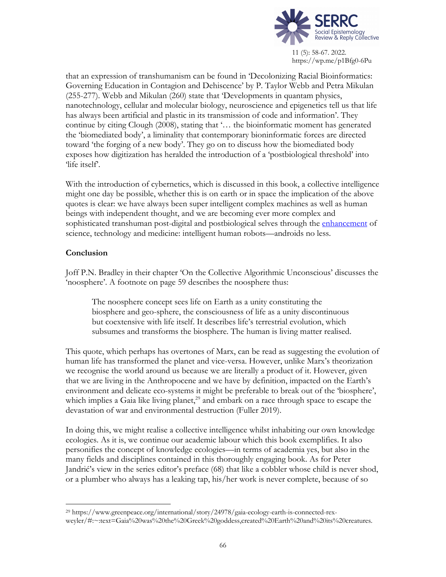

that an expression of transhumanism can be found in 'Decolonizing Racial Bioinformatics: Governing Education in Contagion and Dehiscence' by P. Taylor Webb and Petra Mikulan (255-277). Webb and Mikulan (260) state that 'Developments in quantam physics, nanotechnology, cellular and molecular biology, neuroscience and epigenetics tell us that life has always been artificial and plastic in its transmission of code and information'. They continue by citing Clough (2008), stating that '… the bioinformatic moment has generated the 'biomediated body', a liminality that contemporary bioninformatic forces are directed toward 'the forging of a new body'. They go on to discuss how the biomediated body exposes how digitization has heralded the introduction of a 'postbiological threshold' into 'life itself'.

With the introduction of cybernetics, which is discussed in this book, a collective intelligence might one day be possible, whether this is on earth or in space the implication of the above quotes is clear: we have always been super intelligent complex machines as well as human beings with independent thought, and we are becoming ever more complex and sophisticated transhuman post-digital and postbiological selves through the enhancement of science, technology and medicine: intelligent human robots—androids no less.

### **Conclusion**

Joff P.N. Bradley in their chapter 'On the Collective Algorithmic Unconscious' discusses the 'noosphere'. A footnote on page 59 describes the noosphere thus:

The noosphere concept sees life on Earth as a unity constituting the biosphere and geo-sphere, the consciousness of life as a unity discontinuous but coextensive with life itself. It describes life's terrestrial evolution, which subsumes and transforms the biosphere. The human is living matter realised.

This quote, which perhaps has overtones of Marx, can be read as suggesting the evolution of human life has transformed the planet and vice-versa. However, unlike Marx's theorization we recognise the world around us because we are literally a product of it. However, given that we are living in the Anthropocene and we have by definition, impacted on the Earth's environment and delicate eco-systems it might be preferable to break out of the 'biosphere', which implies a Gaia like living planet,<sup>29</sup> and embark on a race through space to escape the devastation of war and environmental destruction (Fuller 2019).

In doing this, we might realise a collective intelligence whilst inhabiting our own knowledge ecologies. As it is, we continue our academic labour which this book exemplifies. It also personifies the concept of knowledge ecologies—in terms of academia yes, but also in the many fields and disciplines contained in this thoroughly engaging book. As for Peter Jandrić's view in the series editor's preface (68) that like a cobbler whose child is never shod, or a plumber who always has a leaking tap, his/her work is never complete, because of so

<sup>29</sup> https://www.greenpeace.org/international/story/24978/gaia-ecology-earth-is-connected-rexweyler/#:~:text=Gaia%20was%20the%20Greek%20goddess,created%20Earth%20and%20its%20creatures.